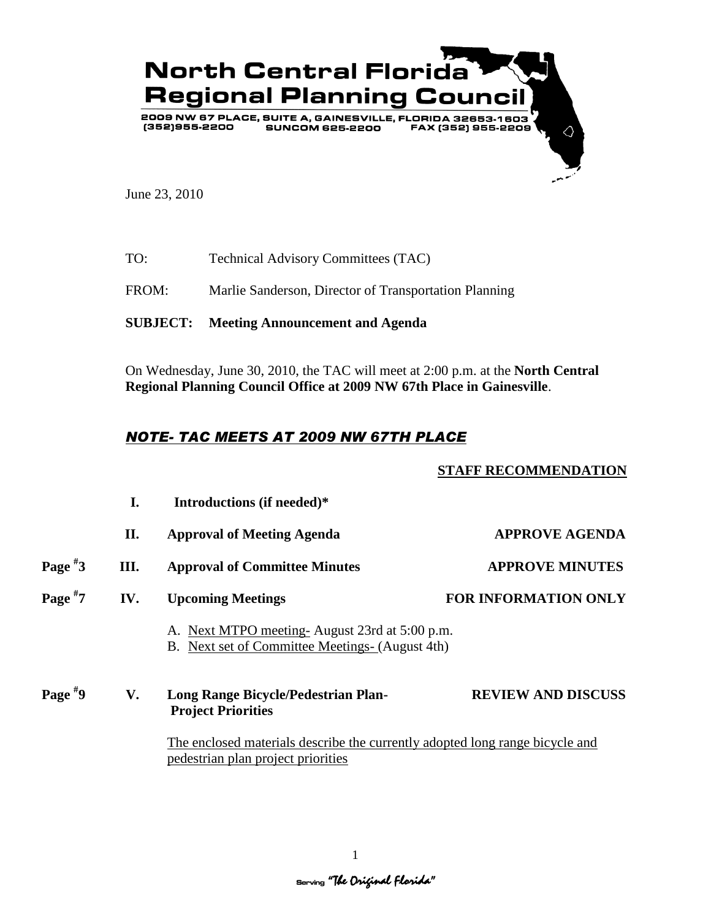

June 23, 2010

TO: Technical Advisory Committees (TAC)

FROM: Marlie Sanderson, Director of Transportation Planning

**SUBJECT: Meeting Announcement and Agenda**

On Wednesday, June 30, 2010, the TAC will meet at 2:00 p.m. at the **North Central Regional Planning Council Office at 2009 NW 67th Place in Gainesville**.

## *NOTE- TAC MEETS AT 2009 NW 67TH PLACE*

## **STAFF RECOMMENDATION**

|           | I.  | Introductions (if needed)*                                                                                         |                             |
|-----------|-----|--------------------------------------------------------------------------------------------------------------------|-----------------------------|
|           | П.  | <b>Approval of Meeting Agenda</b>                                                                                  | <b>APPROVE AGENDA</b>       |
| Page $*3$ | Ш.  | <b>Approval of Committee Minutes</b>                                                                               | <b>APPROVE MINUTES</b>      |
| Page $*7$ | IV. | <b>Upcoming Meetings</b>                                                                                           | <b>FOR INFORMATION ONLY</b> |
|           |     | A. Next MTPO meeting-August 23rd at 5:00 p.m.<br>B. Next set of Committee Meetings- (August 4th)                   |                             |
| Page $*9$ | V.  | Long Range Bicycle/Pedestrian Plan-<br><b>Project Priorities</b>                                                   | <b>REVIEW AND DISCUSS</b>   |
|           |     | The enclosed materials describe the currently adopted long range bicycle and<br>pedestrian plan project priorities |                             |